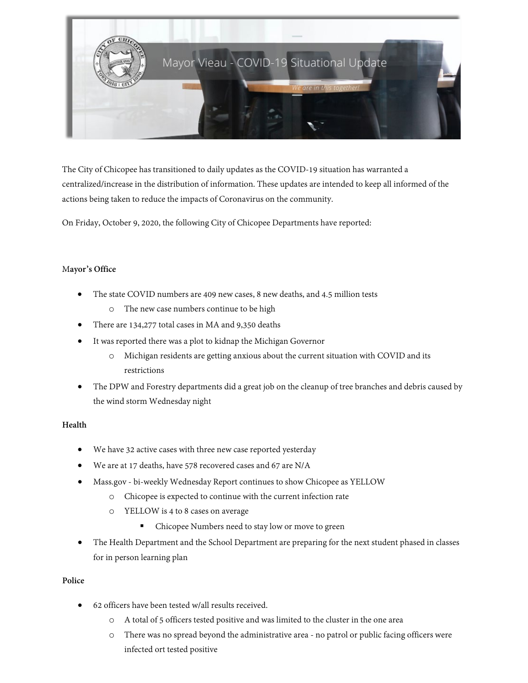

The City of Chicopee has transitioned to daily updates as the COVID-19 situation has warranted a centralized/increase in the distribution of information. These updates are intended to keep all informed of the actions being taken to reduce the impacts of Coronavirus on the community.

On Friday, October 9, 2020, the following City of Chicopee Departments have reported:

# M**ayor's Office**

- The state COVID numbers are 409 new cases, 8 new deaths, and 4.5 million tests
	- o The new case numbers continue to be high
- There are 134,277 total cases in MA and 9,350 deaths
- It was reported there was a plot to kidnap the Michigan Governor
	- o Michigan residents are getting anxious about the current situation with COVID and its restrictions
- The DPW and Forestry departments did a great job on the cleanup of tree branches and debris caused by the wind storm Wednesday night

### **Health**

- We have 32 active cases with three new case reported yesterday
- We are at 17 deaths, have 578 recovered cases and 67 are N/A
- Mass.gov bi-weekly Wednesday Report continues to show Chicopee as YELLOW
	- o Chicopee is expected to continue with the current infection rate
	- o YELLOW is 4 to 8 cases on average
		- **•** Chicopee Numbers need to stay low or move to green
- The Health Department and the School Department are preparing for the next student phased in classes for in person learning plan

### **Police**

- 62 officers have been tested w/all results received.
	- o A total of 5 officers tested positive and was limited to the cluster in the one area
	- o There was no spread beyond the administrative area no patrol or public facing officers were infected ort tested positive